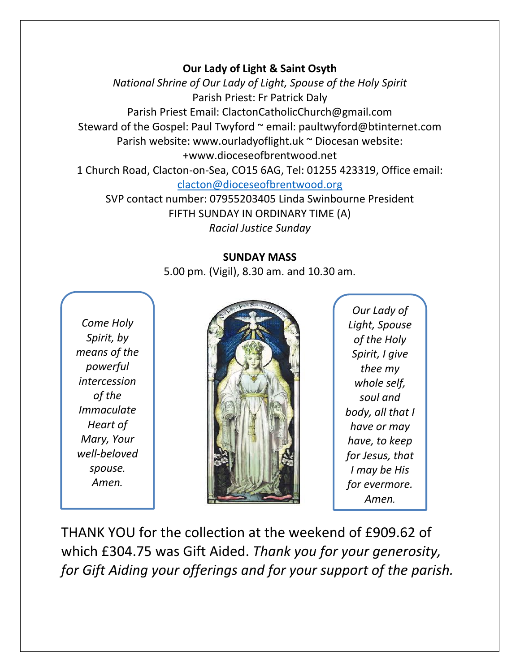## **Our Lady of Light & Saint Osyth**

*National Shrine of Our Lady of Light, Spouse of the Holy Spirit* Parish Priest: Fr Patrick Daly Parish Priest Email: ClactonCatholicChurch@gmail.com Steward of the Gospel: Paul Twyford ~ email: paultwyford@btinternet.com Parish website: www.ourladyoflight.uk ~ Diocesan website: +www.dioceseofbrentwood.net 1 Church Road, Clacton-on-Sea, CO15 6AG, Tel: 01255 423319, Office email: [clacton@dioceseofbrentwood.org](mailto:clacton@dioceseofbrentwood.org) SVP contact number: 07955203405 Linda Swinbourne President

FIFTH SUNDAY IN ORDINARY TIME (A) *Racial Justice Sunday*

## **SUNDAY MASS**

5.00 pm. (Vigil), 8.30 am. and 10.30 am.

*Come Holy Spirit, by means of the powerful intercession of the Immaculate Heart of Mary, Your well-beloved spouse. Amen.*



*Our Lady of Light, Spouse of the Holy Spirit, I give thee my whole self, soul and body, all that I have or may have, to keep for Jesus, that I may be His for evermore. Amen.*

THANK YOU for the collection at the weekend of £909.62 of which £304.75 was Gift Aided. *Thank you for your generosity, for Gift Aiding your offerings and for your support of the parish.*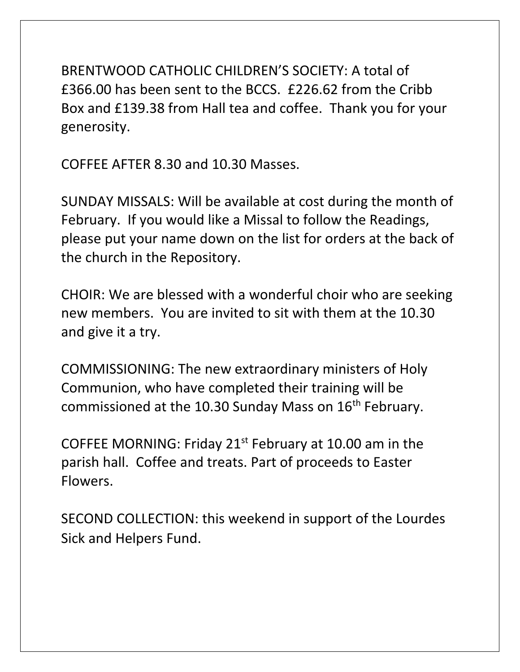BRENTWOOD CATHOLIC CHILDREN'S SOCIETY: A total of £366.00 has been sent to the BCCS. £226.62 from the Cribb Box and £139.38 from Hall tea and coffee. Thank you for your generosity.

COFFEE AFTER 8.30 and 10.30 Masses.

SUNDAY MISSALS: Will be available at cost during the month of February. If you would like a Missal to follow the Readings, please put your name down on the list for orders at the back of the church in the Repository.

CHOIR: We are blessed with a wonderful choir who are seeking new members. You are invited to sit with them at the 10.30 and give it a try.

COMMISSIONING: The new extraordinary ministers of Holy Communion, who have completed their training will be commissioned at the 10.30 Sunday Mass on 16<sup>th</sup> February.

COFFEE MORNING: Friday 21st February at 10.00 am in the parish hall. Coffee and treats. Part of proceeds to Easter Flowers.

SECOND COLLECTION: this weekend in support of the Lourdes Sick and Helpers Fund.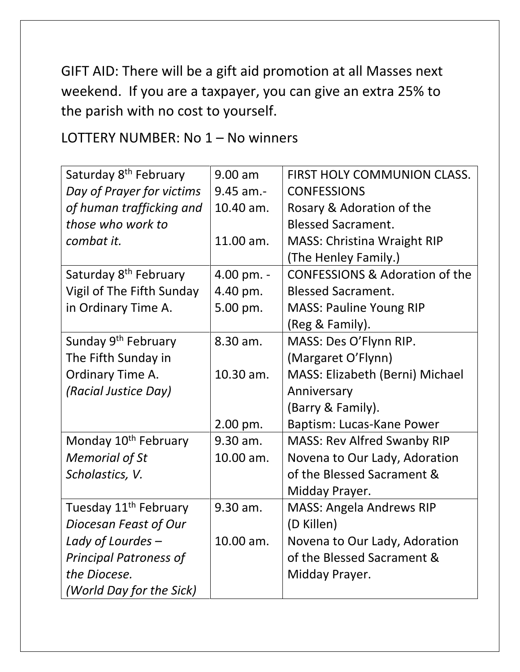GIFT AID: There will be a gift aid promotion at all Masses next weekend. If you are a taxpayer, you can give an extra 25% to the parish with no cost to yourself.

LOTTERY NUMBER: No 1 – No winners

| Saturday 8 <sup>th</sup> February | $9.00$ am   | <b>FIRST HOLY COMMUNION CLASS.</b>        |
|-----------------------------------|-------------|-------------------------------------------|
| Day of Prayer for victims         | $9.45$ am.- | <b>CONFESSIONS</b>                        |
| of human trafficking and          | 10.40 am.   | Rosary & Adoration of the                 |
|                                   |             |                                           |
| those who work to                 |             | <b>Blessed Sacrament.</b>                 |
| combat it.                        | 11.00 am.   | <b>MASS: Christina Wraight RIP</b>        |
|                                   |             | (The Henley Family.)                      |
| Saturday 8 <sup>th</sup> February | 4.00 pm. -  | <b>CONFESSIONS &amp; Adoration of the</b> |
| Vigil of The Fifth Sunday         | 4.40 pm.    | <b>Blessed Sacrament.</b>                 |
| in Ordinary Time A.               | 5.00 pm.    | <b>MASS: Pauline Young RIP</b>            |
|                                   |             | (Reg & Family).                           |
| Sunday 9 <sup>th</sup> February   | 8.30 am.    | MASS: Des O'Flynn RIP.                    |
| The Fifth Sunday in               |             | (Margaret O'Flynn)                        |
| Ordinary Time A.                  | 10.30 am.   | MASS: Elizabeth (Berni) Michael           |
| (Racial Justice Day)              |             | Anniversary                               |
|                                   |             | (Barry & Family).                         |
|                                   | 2.00 pm.    | Baptism: Lucas-Kane Power                 |
| Monday 10 <sup>th</sup> February  | 9.30 am.    | MASS: Rev Alfred Swanby RIP               |
| <b>Memorial of St</b>             | 10.00 am.   | Novena to Our Lady, Adoration             |
| Scholastics, V.                   |             | of the Blessed Sacrament &                |
|                                   |             | Midday Prayer.                            |
| Tuesday 11 <sup>th</sup> February | 9.30 am.    | <b>MASS: Angela Andrews RIP</b>           |
| Diocesan Feast of Our             |             | (D Killen)                                |
| Lady of Lourdes -                 | 10.00 am.   | Novena to Our Lady, Adoration             |
| <b>Principal Patroness of</b>     |             | of the Blessed Sacrament &                |
| the Diocese.                      |             | Midday Prayer.                            |
| (World Day for the Sick)          |             |                                           |